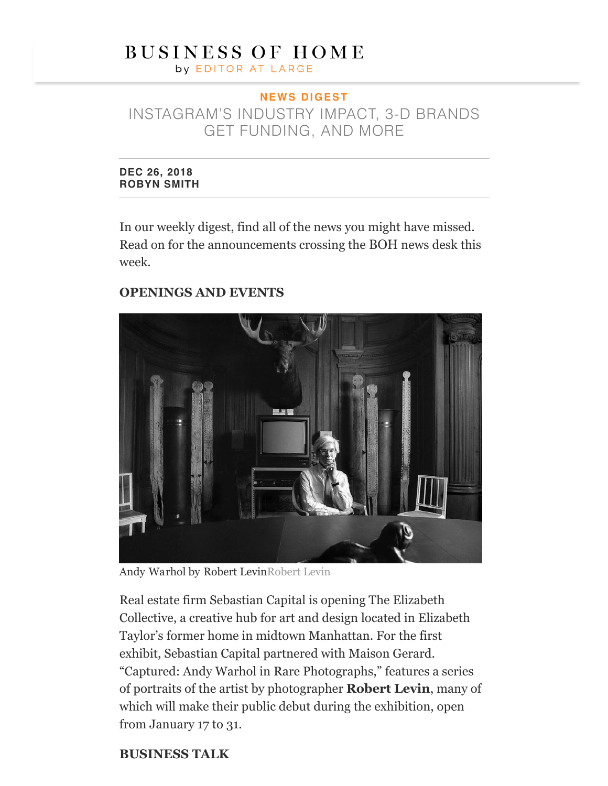# **BUSINESS OF HOME**

by EDITOR AT LARGE

## **N E W S D I G E S T**

INSTAGRAM'S INDUSTRY IMPACT, 3-D BRANDS GET FUNDING, AND MORE

**DEC 26, 2018 [ROBYN SMITH](https://businessofhome.com/articles/authored_by/Robyn%20Smith)**

In our weekly digest, find all of the news you might have missed. Read on for the announcements crossing the BOH news desk this week.

#### **OPENINGS AND EVENTS**



Andy Warhol by Robert LevinRobert Levin

Real estate firm Sebastian Capital is opening The Elizabeth Collective, a creative hub for art and design located in Elizabeth Taylor's former home in midtown Manhattan. For the first exhibit, Sebastian Capital partnered with Maison Gerard. "Captured: Andy Warhol in Rare Photographs," features a series of portraits of the artist by photographer **Robert Levin**, many of which will make their public debut during the exhibition, open from January 17 to 31.

#### **BUSINESS TALK**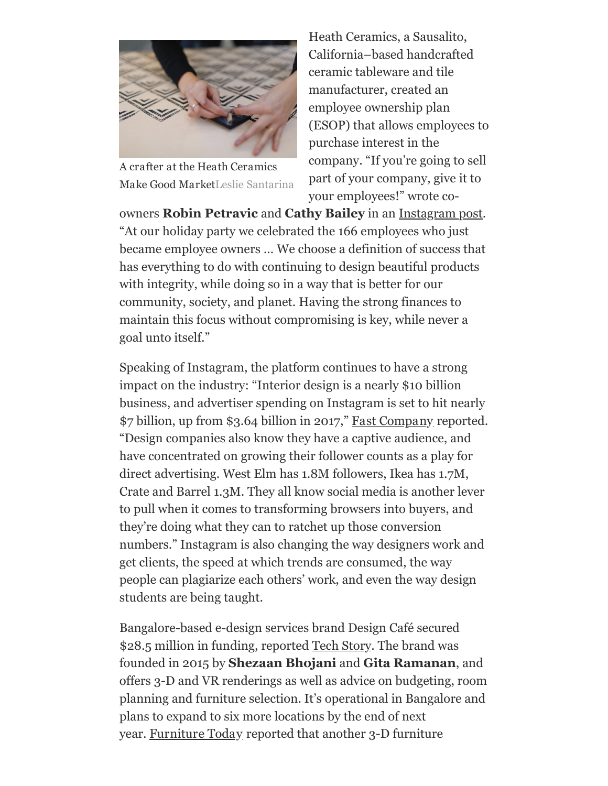

A crafter at the Heath Ceramics Make Good MarketLeslie Santarina

Heath Ceramics, a Sausalito, California–based handcrafted ceramic tableware and tile manufacturer, created an employee ownership plan (ESOP) that allows employees to purchase interest in the company. "If you're going to sell part of your company, give it to your employees!" wrote co-

owners **Robin Petravic** and **Cathy Bailey** in an [Instagram post](https://www.instagram.com/p/BriU2NwHGvI/). "At our holiday party we celebrated the 166 employees who just became employee owners … We choose a definition of success that has everything to do with continuing to design beautiful products with integrity, while doing so in a way that is better for our community, society, and planet. Having the strong finances to maintain this focus without compromising is key, while never a goal unto itself."

Speaking of Instagram, the platform continues to have a strong impact on the industry: "Interior design is a nearly \$10 billion business, and advertiser spending on Instagram is set to hit nearly \$7 billion, up from \$3.64 billion in 2017," [Fast Company](https://www.fastcompany.com/90282972/instagram-is-reshaping-the-10b-business-of-interior-design) reported. "Design companies also know they have a captive audience, and have concentrated on growing their follower counts as a play for direct advertising. West Elm has 1.8M followers, Ikea has 1.7M, Crate and Barrel 1.3M. They all know social media is another lever to pull when it comes to transforming browsers into buyers, and they're doing what they can to ratchet up those conversion numbers." Instagram is also changing the way designers work and get clients, the speed at which trends are consumed, the way people can plagiarize each others' work, and even the way design students are being taught.

Bangalore-based e-design services brand Design Café secured \$28.5 million in funding, reported [Tech Story.](https://techstory.in/home-interiors-startup-design-cafe-raises-28-5-mn/) The brand was founded in 2015 by **Shezaan Bhojani** and **Gita Ramanan**, and offers 3-D and VR renderings as well as advice on budgeting, room planning and furniture selection. It's operational in Bangalore and plans to expand to six more locations by the end of next year. [Furniture Today](http://www.furnituretoday.com/article/560480-cylindo-completes-new-funding-round/?nid=2374&utm_source=hs_email&utm_medium=email&utm_content=68522647&_hsenc=p2ANqtz-8CVNzWfEK34IHXH7GP_oGkyNxjxtQyddMDUH3Xk_I0DbG3EBSH6sjXTRPu2oLiioRfJTHCOizadZ_L78A8vwqMqAJqnA&_hsmi=68522647) reported that another 3-D furniture